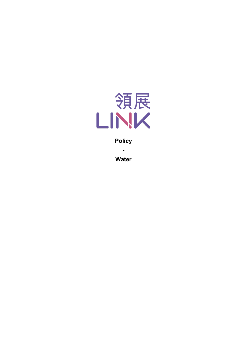

**Policy**

**-**

**Water**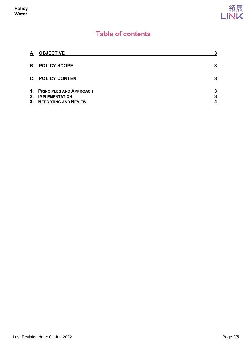

# **Table of contents**

| А.            | <b>OBJECTIVE</b>                                                                   | 3           |
|---------------|------------------------------------------------------------------------------------|-------------|
| В.            | <b>POLICY SCOPE</b>                                                                | 3           |
| C.            | <b>POLICY CONTENT</b>                                                              | 3           |
| 1.<br>$2_{-}$ | <b>PRINCIPLES AND APPROACH</b><br><b>IMPLEMENTATION</b><br>3. REPORTING AND REVIEW | 3<br>3<br>4 |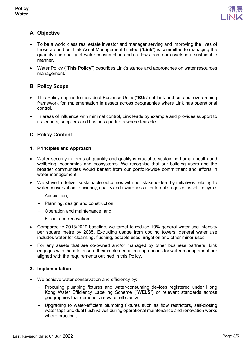

## <span id="page-2-0"></span>**A. Objective**

- To be a world class real estate investor and manager serving and improving the lives of those around us, Link Asset Management Limited ("**Link**") is committed to managing the quantity and quality of water consumption and outflows from our assets in a sustainable manner.
- Water Policy ("**This Policy**") describes Link's stance and approaches on water resources management.

## <span id="page-2-1"></span>**B. Policy Scope**

- This Policy applies to individual Business Units ("**BUs**") of Link and sets out overarching framework for implementation in assets across geographies where Link has operational control.
- In areas of influence with minimal control, Link leads by example and provides support to its tenants, suppliers and business partners where feasible.

## <span id="page-2-2"></span>**C. Policy Content**

### <span id="page-2-3"></span>**1. Principles and Approach**

- Water security in terms of quantity and quality is crucial to sustaining human health and wellbeing, economies and ecosystems. We recognise that our building users and the broader communities would benefit from our portfolio-wide commitment and efforts in water management.
- We strive to deliver sustainable outcomes with our stakeholders by initiatives relating to water conservation, efficiency, quality and awareness at different stages of asset life cycle:
	- Acquisition;
	- Planning, design and construction;
	- Operation and maintenance; and
	- Fit-out and renovation.
- Compared to 2018/2019 baseline, we target to reduce 10% general water use intensity per square metre by 2035. Excluding usage from cooling towers, general water use includes water for cleansing, flushing, potable uses, irrigation and other minor uses.
- For any assets that are co-owned and/or managed by other business partners, Link engages with them to ensure their implementation approaches for water management are aligned with the requirements outlined in this Policy.

### <span id="page-2-4"></span>**2. Implementation**

- We achieve water conservation and efficiency by:
	- Procuring plumbing fixtures and water-consuming devices registered under Hong Kong Water Efficiency Labelling Scheme ("**WELS**") or relevant standards across geographies that demonstrate water efficiency;
	- Upgrading to water-efficient plumbing fixtures such as flow restrictors, self-closing water taps and dual flush valves during operational maintenance and renovation works where practical;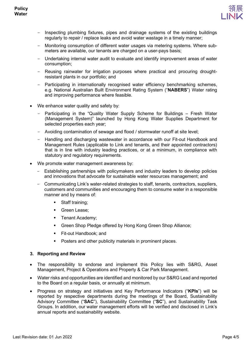

- Inspecting plumbing fixtures, pipes and drainage systems of the existing buildings regularly to repair / replace leaks and avoid water wastage in a timely manner;
- Monitoring consumption of different water usages via metering systems. Where submeters are available, our tenants are charged on a user-pays basis;
- Undertaking internal water audit to evaluate and identify improvement areas of water consumption;
- Reusing rainwater for irrigation purposes where practical and procuring droughtresistant plants in our portfolio; and
- Participating in internationally recognised water efficiency benchmarking schemes, e.g. National Australian Built Environment Rating System ("**NABERS**") Water rating and improving performance where feasible.
- We enhance water quality and safety by:
	- Participating in the "Quality Water Supply Scheme for Buildings Fresh Water (Management System)" launched by Hong Kong Water Supplies Department for selected properties each year;
	- Avoiding contamination of sewage and flood / stormwater runoff at site level;
	- Handling and discharging wastewater in accordance with our Fit-out Handbook and Management Rules (applicable to Link and tenants, and their appointed contractors) that is in line with industry leading practices, or at a minimum, in compliance with statutory and regulatory requirements.
- We promote water management awareness by:
	- Establishing partnerships with policymakers and industry leaders to develop policies and innovations that advocate for sustainable water resources management; and
	- Communicating Link's water-related strategies to staff, tenants, contractors, suppliers, customers and communities and encouraging them to consume water in a responsible manner and by means of:
		- Staff training;
		- Green Lease;
		- **Tenant Academy;**
		- **Green Shop Pledge offered by Hong Kong Green Shop Alliance;**
		- Fit-out Handbook; and
		- Posters and other publicity materials in prominent places.

### <span id="page-3-0"></span>**3. Reporting and Review**

- The responsibility to endorse and implement this Policy lies with S&RG, Asset Management, Project & Operations and Property & Car Park Management.
- Water risks and opportunities are identified and monitored by our S&RG Lead and reported to the Board on a regular basis, or annually at minimum.
- Progress on strategy and initiatives and Key Performance Indicators ("**KPIs**") will be reported by respective departments during the meetings of the Board, Sustainability Advisory Committee ("**SAC**"), Sustainability Committee ("**SC**"), and Sustainability Task Groups. In addition, our water management efforts will be verified and disclosed in Link's annual reports and sustainability website.